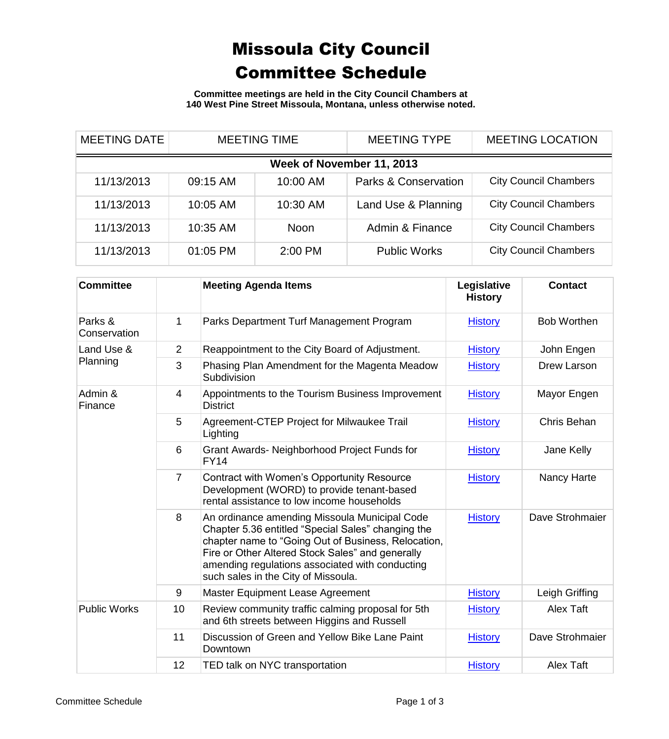## Missoula City Council Committee Schedule

**Committee meetings are held in the City Council Chambers at 140 West Pine Street Missoula, Montana, unless otherwise noted.**

| <b>MEETING DATE</b>       |          | <b>MEETING TIME</b> | <b>MEETING TYPE</b>             | <b>MEETING LOCATION</b>      |  |
|---------------------------|----------|---------------------|---------------------------------|------------------------------|--|
| Week of November 11, 2013 |          |                     |                                 |                              |  |
| 11/13/2013                | 09:15 AM | 10:00 AM            | <b>Parks &amp; Conservation</b> | <b>City Council Chambers</b> |  |
| 11/13/2013                | 10:05 AM | 10:30 AM            | Land Use & Planning             | <b>City Council Chambers</b> |  |
| 11/13/2013                | 10:35 AM | <b>Noon</b>         | Admin & Finance                 | <b>City Council Chambers</b> |  |
| 11/13/2013                | 01:05 PM | 2:00 PM             | <b>Public Works</b>             | <b>City Council Chambers</b> |  |

| <b>Committee</b>        |                | <b>Meeting Agenda Items</b>                                                                                                                                                                                                                                                                              | Legislative<br><b>History</b> | <b>Contact</b>     |
|-------------------------|----------------|----------------------------------------------------------------------------------------------------------------------------------------------------------------------------------------------------------------------------------------------------------------------------------------------------------|-------------------------------|--------------------|
| Parks &<br>Conservation | 1              | Parks Department Turf Management Program                                                                                                                                                                                                                                                                 | <b>History</b>                | <b>Bob Worthen</b> |
| Land Use &<br>Planning  | $\overline{2}$ | Reappointment to the City Board of Adjustment.                                                                                                                                                                                                                                                           | <b>History</b>                | John Engen         |
|                         | 3              | Phasing Plan Amendment for the Magenta Meadow<br>Subdivision                                                                                                                                                                                                                                             | <b>History</b>                | Drew Larson        |
| Admin &<br>Finance      | 4              | Appointments to the Tourism Business Improvement<br><b>District</b>                                                                                                                                                                                                                                      | <b>History</b>                | Mayor Engen        |
|                         | 5              | Agreement-CTEP Project for Milwaukee Trail<br>Lighting                                                                                                                                                                                                                                                   | <b>History</b>                | Chris Behan        |
|                         | 6              | Grant Awards- Neighborhood Project Funds for<br><b>FY14</b>                                                                                                                                                                                                                                              | <b>History</b>                | Jane Kelly         |
|                         | $\overline{7}$ | Contract with Women's Opportunity Resource<br>Development (WORD) to provide tenant-based<br>rental assistance to low income households                                                                                                                                                                   | <b>History</b>                | <b>Nancy Harte</b> |
|                         | 8              | An ordinance amending Missoula Municipal Code<br>Chapter 5.36 entitled "Special Sales" changing the<br>chapter name to "Going Out of Business, Relocation,<br>Fire or Other Altered Stock Sales" and generally<br>amending regulations associated with conducting<br>such sales in the City of Missoula. | <b>History</b>                | Dave Strohmaier    |
|                         | 9              | Master Equipment Lease Agreement                                                                                                                                                                                                                                                                         | <b>History</b>                | Leigh Griffing     |
| <b>Public Works</b>     | 10             | Review community traffic calming proposal for 5th<br>and 6th streets between Higgins and Russell                                                                                                                                                                                                         | <b>History</b>                | Alex Taft          |
|                         | 11             | Discussion of Green and Yellow Bike Lane Paint<br>Downtown                                                                                                                                                                                                                                               | <b>History</b>                | Dave Strohmaier    |
|                         | 12             | TED talk on NYC transportation                                                                                                                                                                                                                                                                           | <b>History</b>                | Alex Taft          |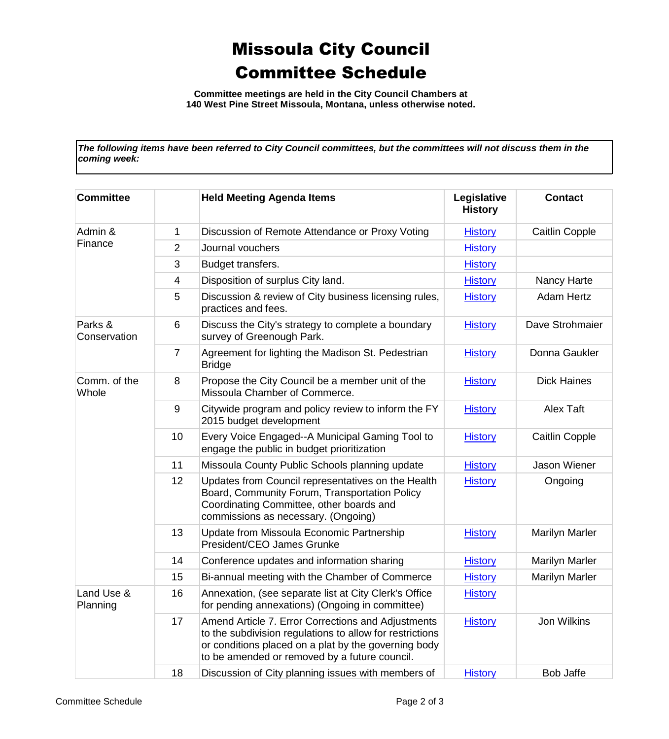## Missoula City Council Committee Schedule

**Committee meetings are held in the City Council Chambers at 140 West Pine Street Missoula, Montana, unless otherwise noted.**

*The following items have been referred to City Council committees, but the committees will not discuss them in the coming week:*

| <b>Committee</b>        |                | <b>Held Meeting Agenda Items</b>                                                                                                                                                                                        | Legislative<br><b>History</b> | <b>Contact</b>        |
|-------------------------|----------------|-------------------------------------------------------------------------------------------------------------------------------------------------------------------------------------------------------------------------|-------------------------------|-----------------------|
| Admin &<br>Finance      | 1              | Discussion of Remote Attendance or Proxy Voting                                                                                                                                                                         | <b>History</b>                | <b>Caitlin Copple</b> |
|                         | 2              | Journal vouchers                                                                                                                                                                                                        | <b>History</b>                |                       |
|                         | 3              | Budget transfers.                                                                                                                                                                                                       | <b>History</b>                |                       |
|                         | 4              | Disposition of surplus City land.                                                                                                                                                                                       | <b>History</b>                | Nancy Harte           |
|                         | 5              | Discussion & review of City business licensing rules,<br>practices and fees.                                                                                                                                            | <b>History</b>                | Adam Hertz            |
| Parks &<br>Conservation | 6              | Discuss the City's strategy to complete a boundary<br>survey of Greenough Park.                                                                                                                                         | <b>History</b>                | Dave Strohmaier       |
|                         | $\overline{7}$ | Agreement for lighting the Madison St. Pedestrian<br><b>Bridge</b>                                                                                                                                                      | <b>History</b>                | Donna Gaukler         |
| Comm. of the<br>Whole   | 8              | Propose the City Council be a member unit of the<br>Missoula Chamber of Commerce.                                                                                                                                       | <b>History</b>                | <b>Dick Haines</b>    |
|                         | 9              | Citywide program and policy review to inform the FY<br>2015 budget development                                                                                                                                          | <b>History</b>                | <b>Alex Taft</b>      |
|                         | 10             | Every Voice Engaged--A Municipal Gaming Tool to<br>engage the public in budget prioritization                                                                                                                           | <b>History</b>                | <b>Caitlin Copple</b> |
|                         | 11             | Missoula County Public Schools planning update                                                                                                                                                                          | <b>History</b>                | Jason Wiener          |
|                         | 12             | Updates from Council representatives on the Health<br>Board, Community Forum, Transportation Policy<br>Coordinating Committee, other boards and<br>commissions as necessary. (Ongoing)                                  | <b>History</b>                | Ongoing               |
|                         | 13             | Update from Missoula Economic Partnership<br>President/CEO James Grunke                                                                                                                                                 | <b>History</b>                | Marilyn Marler        |
|                         | 14             | Conference updates and information sharing                                                                                                                                                                              | <b>History</b>                | Marilyn Marler        |
|                         | 15             | Bi-annual meeting with the Chamber of Commerce                                                                                                                                                                          | <b>History</b>                | Marilyn Marler        |
| Land Use &<br>Planning  | 16             | Annexation, (see separate list at City Clerk's Office<br>for pending annexations) (Ongoing in committee)                                                                                                                | <b>History</b>                |                       |
|                         | 17             | Amend Article 7. Error Corrections and Adjustments<br>to the subdivision regulations to allow for restrictions<br>or conditions placed on a plat by the governing body<br>to be amended or removed by a future council. | <b>History</b>                | Jon Wilkins           |
|                         | 18             | Discussion of City planning issues with members of                                                                                                                                                                      | <b>History</b>                | <b>Bob Jaffe</b>      |